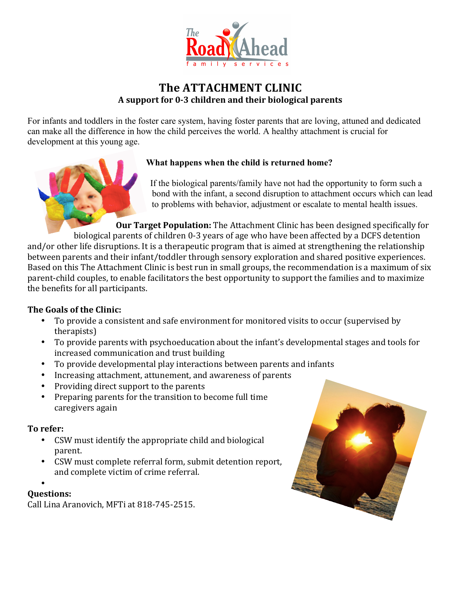

# **The ATTACHMENT CLINIC** A support for 0-3 children and their biological parents

For infants and toddlers in the foster care system, having foster parents that are loving, attuned and dedicated can make all the difference in how the child perceives the world. A healthy attachment is crucial for development at this young age.



## **What happens when the child is returned home?**

If the biological parents/family have not had the opportunity to form such a bond with the infant, a second disruption to attachment occurs which can lead to problems with behavior, adjustment or escalate to mental health issues.

**Our Target Population:** The Attachment Clinic has been designed specifically for biological parents of children 0-3 years of age who have been affected by a DCFS detention and/or other life disruptions. It is a therapeutic program that is aimed at strengthening the relationship between parents and their infant/toddler through sensory exploration and shared positive experiences. Based on this The Attachment Clinic is best run in small groups, the recommendation is a maximum of six parent-child couples, to enable facilitators the best opportunity to support the families and to maximize the benefits for all participants.

## **The Goals of the Clinic:**

- To provide a consistent and safe environment for monitored visits to occur (supervised by therapists)
- To provide parents with psychoeducation about the infant's developmental stages and tools for increased communication and trust building
- To provide developmental play interactions between parents and infants
- Increasing attachment, attunement, and awareness of parents
- Providing direct support to the parents
- Preparing parents for the transition to become full time caregivers again

## **To refer:**

- CSW must identify the appropriate child and biological parent.
- CSW must complete referral form, submit detention report, and complete victim of crime referral.

#### • **Questions:**

Call Lina Aranovich, MFTi at 818-745-2515.